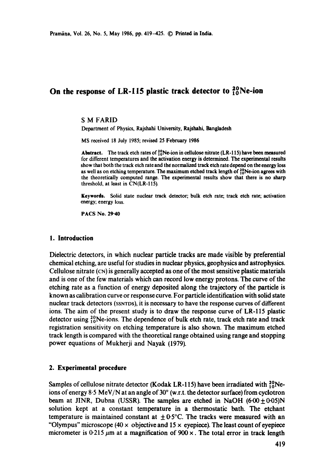# On the response of LR-115 plastic track detector to <sup>20</sup><sub>10</sub>Ne-ion

# **S M** FARID

Department of Physics, Rajshahi University, Rajshahi, Bangladesh

MS received 18 July 1985; revised 25 February 1986

Abstract. The track etch rates of  $^{20}_{10}$ Ne-ion in cellulose nitrate (LR-115) have been measured for different temperatures and the activation energy is determined. The experimental **results**  show that both the track etch rate and the normalized track etch rate depend on the energy loss as well as on etching temperature. The maximum etched track length of  $^{20}_{10}$ Ne-ion agrees with the theoretically computed range. The experimental results show that there is no sharp threshold, at least in CN(LR-115).

**Keywords.** Solid state nuclear track detector; bulk etch rate; track etch rate; activation energy; energy loss.

PACS No. 29.40

#### **1. Introduction**

Dielectric detectors, in which nuclear particle tracks are made visible by preferential chemical etching, are useful for studies in nuclear physics, geophysics and astrophysics. Cellulose nitrate (CN) is generally accepted as one of the most sensitive plastic materials and is one of the few materials which can record low energy protons. The curve of the etching rate as a function of energy deposited along the trajectory of the particle is known as calibration curve or response curve. For particle identification with solid state nuclear track detectors (SSNTDS), it is necessary to have the response curves of different ions. The aim of the present study is to draw the response curve of LR-115 plastic detector using  $^{20}_{10}$ Ne-ions. The dependence of bulk etch rate, track etch rate and track registration sensitivity on etching temperature is also shown. The maximum etched track length is compared with the theoretical range obtained using range and stopping power equations of Mukherji and Nayak (1979).

# **2. Experimental procedure**

Samples of cellulose nitrate detector (Kodak LR-115) have been irradiated with  $^{20}_{10}$ Neions of energy 8.5 MeV/N at an angle of  $30^\circ$  (w.r.t. the detector surface) from cyclotron beam at JINR, Dubna (USSR). The samples are etched in NaOH  $(6.00 \pm 0.05)N$ solution kept at a constant temperature in a thermostatic bath. The etchant temperature is maintained constant at  $\pm 0.5^{\circ}$ C. The tracks were measured with an "Olympus" microscope (40  $\times$  objective and 15  $\times$  eyepiece). The least count of eyepiece micrometer is  $0.215 \mu m$  at a magnification of  $900 \times$ . The total error in track length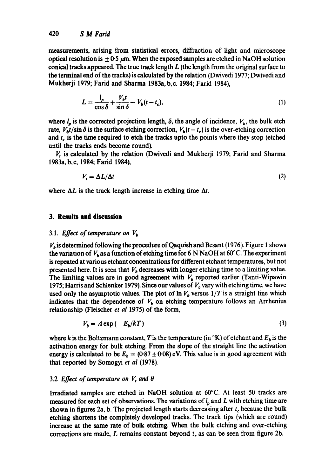measurements, arising from statistical errors, diffraction of light and microscope optical resolution is  $\pm$  0-5  $\mu$ m. When the exposed samples are etched in NaOH solution conical tracks appeared. The true track length  $L$  (the length from the original surface to the terminal end of the tracks) is calculated by the relation (Dwivedi 1977; Dwivedi and Mukherji 1979; Farid and Sharma 1983a, b,c, 1984; Farid 1984),

$$
L = \frac{l_p}{\cos \delta} + \frac{V_b t}{\sin \delta} - V_b (t - t_c),\tag{1}
$$

where  $l_p$  is the corrected projection length,  $\delta$ , the angle of incidence,  $V_b$ , the bulk etch rate,  $V_b t / \sin \delta$  is the surface etching correction,  $V_b(t - t_c)$  is the over-etching correction and  $t_c$  is the time required to etch the tracks upto the points where they stop (etched until the tracks ends become round).

 $V_t$  is calculated by the relation (Dwivedi and Mukherji 1979; Farid and Sharma 1983a, b, c, 1984; Farid 1984),

$$
V_t = \Delta L / \Delta t \tag{2}
$$

where  $\Delta L$  is the track length increase in etching time  $\Delta t$ .

# **3. Results and discussion**

# 3.1. *Effect of temperature on*  $V_b$

 $V<sub>b</sub>$  is determined following the procedure of Qaquish and Besant (1976). Figure 1 shows the variation of  $V_b$  as a function of etching time for 6 N NaOH at 60°C. The experiment is repeated at various etchant concentrations for different etchant temperatures, but not presented here. It is seen that  $V<sub>b</sub>$  decreases with longer etching time to a limiting value. The limiting values are in good agreement with  $V<sub>b</sub>$  reported earlier (Tanti-Wipawin 1975; Harris and Schlenker 1979). Since our values of  $V<sub>b</sub>$  vary with etching time, we have used only the asymptotic values. The plot of  $\ln V_b$  versus  $1/T$  is a straight line which indicates that the dependence of  $V<sub>b</sub>$  on etching temperature follows an Arrhenius relationship (Fleischer *et al* 1975) of the form,

$$
V_b = A \exp\left(-\frac{E_b}{kT}\right) \tag{3}
$$

where k is the Boltzmann constant, T is the temperature (in  ${}^{\circ}$ K) of etchant and  $E_b$  is the activation energy for bulk etching. From the slope of the straight line the activation energy is calculated to be  $E_b = (0.87 \pm 0.08)$  eV. This value is in good agreement with that reported by Somogyi et al (1978).

# 3.2 *Effect of temperature on V<sub>t</sub> and*  $\theta$

Irradiated samples are etched in NaOH solution at 60°C. At least 50 tracks are measured for each set of observations. The variations of  $l_p$  and L with etching time are shown in figures 2a, b. The projected length starts decreasing after  $t_c$  because the bulk etching shortens the completely developed tracks. The track tips (which are round) increase at the same rate of bulk etching. When the bulk etching and over-etching corrections are made, L remains constant beyond  $t_c$  as can be seen from figure 2b.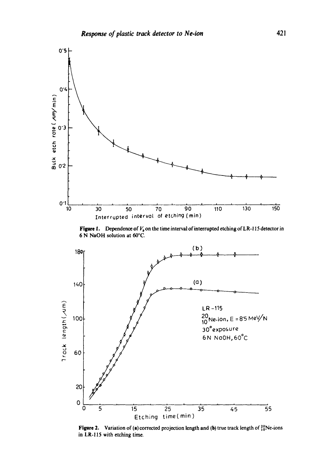

**Figure 1.** Dependence of  $V_b$  on the time interval of interrupted etching of LR-115 detector in **6 N NaOH solution at 60°C.** 



**Figure 2.** Variation of (a) corrected projection length and (b) true track length of  $^{20}_{10}$ Ne-ions **in LR-115 with etching time.**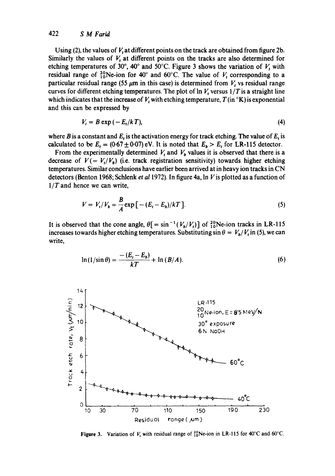# 422 *S M Farid*

Using (2), the values of  $V_t$  at different points on the track are obtained from figure 2b. Similarly the values of  $V_t$  at different points on the tracks are also determined for etching temperatures of 30°, 40° and 50°C. Figure 3 shows the variation of  $V_t$  with residual range of  $^{20}_{10}$ Ne-ion for 40° and 60°C. The value of  $V_t$  corresponding to a particular residual range (55  $\mu$ m in this case) is determined from V, vs residual range curves for different etching temperatures. The plot of  $\ln V_t$  versus  $1/T$  is a straight line which indicates that the increase of  $V_t$  with etching temperature,  $T(\text{in} \, {}^\circ\text{K})$  is exponential and this can be expressed by

$$
V_t = B \exp\left(-E_t/kT\right),\tag{4}
$$

where B is a constant and  $E_t$  is the activation energy for track etching. The value of  $E_t$  is calculated to be  $E_t = (0.67 \pm 0.07)$  eV. It is noted that  $E_b > E_t$  for LR-115 detector.

From the experimentally determined  $V_t$  and  $V_b$  values it is observed that there is a decrease of  $V = V_t/V_b$ ) (i.e. track registration sensitivity) towards higher etching temperatures. Similar conclusions have earlier been arrived at in heavy ion tracks in CN detectors (Benton 1968; Schlenk *et a11972).* In figure 4a, In Vis plotted as a function of *l/T* and hence we can write,

$$
V = V_{t}/V_{b} = \frac{B}{A} \exp\left[-(E_{t} - E_{b})/kT\right].
$$
 (5)

It is observed that the cone angle,  $\theta$ [ = sin<sup>-1</sup>( $V_b/V_t$ )] of  ${}^{20}_{10}$ Ne-ion tracks in LR-115 increases towards higher etching temperatures. Substituting  $\sin \theta = V_b/V_t$  in (5), we can write,

$$
\ln\left(1/\sin\theta\right) = \frac{-\left(E_t - E_b\right)}{kT} + \ln\left(B/A\right). \tag{6}
$$



**Figure 3.** Variation of  $V_t$  with residual range of  ${}^{20}_{10}$ Ne-ion in LR-115 for 40°C and 60°C.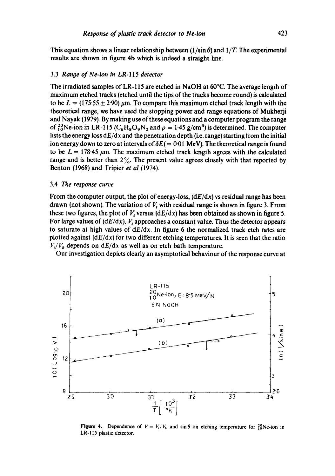This equation shows a linear relationship between  $(1/\sin \theta)$  and  $1/T$ . The experimental results are shown in figure 4b which is indeed a straight line.

#### 3.3 *Range of Ne-ion in* LR-115 *detector*

The irradiated samples of LR-115 are etched in NaOH at  $60^{\circ}$ C. The average length of maximum etched tracks (etched until the tips of the tracks become round) is calculated to be  $L = (175.55 + 2.90)$  um. To compare this maximum etched track length with the theoretical range, we have used the stopping power and range equations of Mukherji and Nayak (1979). By making use of these equations and a computer program the range of <sup>20</sup><sub>10</sub>Ne-ion in LR-115 ( $C_6H_8O_9N_2$  and  $\rho = 1.45$  g/cm<sup>3</sup>) is determined. The computer lists the energy loss *dE/dx* and the penetration depth (i.e. range) starting from the initial ion energy down to zero at intervals of  $\delta E (= 0.01 \text{ MeV})$ . The theoretical range is found to be  $L = 178.45 \mu m$ . The maximum etched track length agrees with the calculated range and is better than  $2\%$ . The present value agrees closely with that reported by Benton (1968) and Triplet *et al* (1974).

#### 3.4 The *response curve*

From the computer output, the plot of energy-loss, *(dE/dx)* vs residual range has been drawn (not shown). The variation of  $V_t$  with residual range is shown in figure 3. From these two figures, the plot of  $V$ , versus  $(dE/dx)$  has been obtained as shown in figure 5. For large values of  $(dE/dx)$ , V, approaches a constant value. Thus the detector appears to saturate at high values of *dE/dx.* In figure 6 the normalized track etch rates are plotted against *(dE/dx)* for two different etching temperatures. It is seen that the ratio  $V_t/V_b$  depends on  $dE/dx$  as well as on etch bath temperature.

Our investigation depicts clearly an asymptotical bchaviour of the response curve at



Figure 4. Dependence of  $V = V_t/V_b$  and  $\sin \theta$  on etching temperature for  $^{20}_{10}$ Ne-ion in LR-! 15 plastic detector.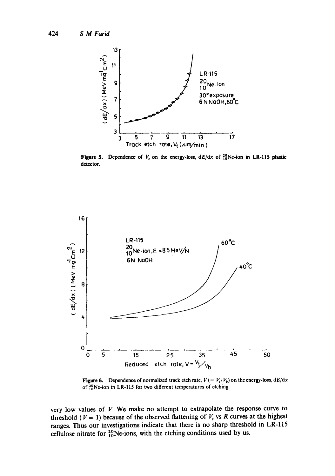

**Figure 5.** Dependence of  $V_1$  on the energy-loss,  $dE/dx$  of  ${}^{20}_{10}$ Ne-ion in LR-115 plastic detector.



Figure 6. Dependence of normalized track etch rate,  $V = V_i/V_b$  on the energy-loss,  $dE/dx$ of  $^{20}_{10}$ Ne-ion in LR-115 for two different temperatures of etching.

very low values of  $V$ . We make no attempt to extrapolate the response curve to threshold ( $V = 1$ ) because of the observed flattening of  $V_t$ , vs R curves at the highest ranges. Thus our investigations indicate that there is no sharp threshold in LR-115 cellulose nitrate for  $^{20}_{10}$ Ne-ions, with the etching conditions used by us.